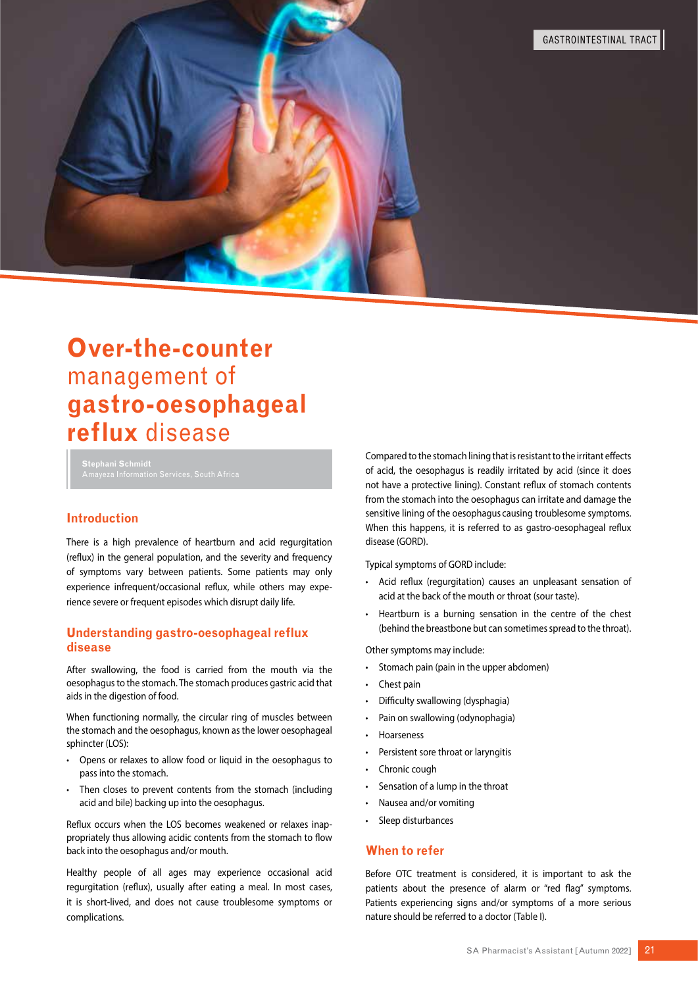

# **Introduction**

There is a high prevalence of heartburn and acid regurgitation (reflux) in the general population, and the severity and frequency of symptoms vary between patients. Some patients may only experience infrequent/occasional reflux, while others may experience severe or frequent episodes which disrupt daily life.

# **Understanding gastro-oesophageal reflux disease**

After swallowing, the food is carried from the mouth via the oesophagus to the stomach. The stomach produces gastric acid that aids in the digestion of food.

When functioning normally, the circular ring of muscles between the stomach and the oesophagus, known as the lower oesophageal sphincter (LOS):

- Opens or relaxes to allow food or liquid in the oesophagus to pass into the stomach.
- Then closes to prevent contents from the stomach (including acid and bile) backing up into the oesophagus.

Reflux occurs when the LOS becomes weakened or relaxes inappropriately thus allowing acidic contents from the stomach to flow back into the oesophagus and/or mouth.

Healthy people of all ages may experience occasional acid regurgitation (reflux), usually after eating a meal. In most cases, it is short-lived, and does not cause troublesome symptoms or complications.

Compared to the stomach lining that is resistant to the irritant effects of acid, the oesophagus is readily irritated by acid (since it does not have a protective lining). Constant reflux of stomach contents from the stomach into the oesophagus can irritate and damage the sensitive lining of the oesophagus causing troublesome symptoms. When this happens, it is referred to as gastro-oesophageal reflux disease (GORD).

Typical symptoms of GORD include:

- Acid reflux (regurgitation) causes an unpleasant sensation of acid at the back of the mouth or throat (sour taste).
- Heartburn is a burning sensation in the centre of the chest (behind the breastbone but can sometimes spread to the throat).

Other symptoms may include:

- Stomach pain (pain in the upper abdomen)
- Chest pain
- Difficulty swallowing (dysphagia)
- Pain on swallowing (odynophagia)
- Hoarseness
- Persistent sore throat or laryngitis
- Chronic cough
- Sensation of a lump in the throat
- Nausea and/or vomiting
- Sleep disturbances

### **When to refer**

Before OTC treatment is considered, it is important to ask the patients about the presence of alarm or "red flag" symptoms. Patients experiencing signs and/or symptoms of a more serious nature should be referred to a doctor (Table I).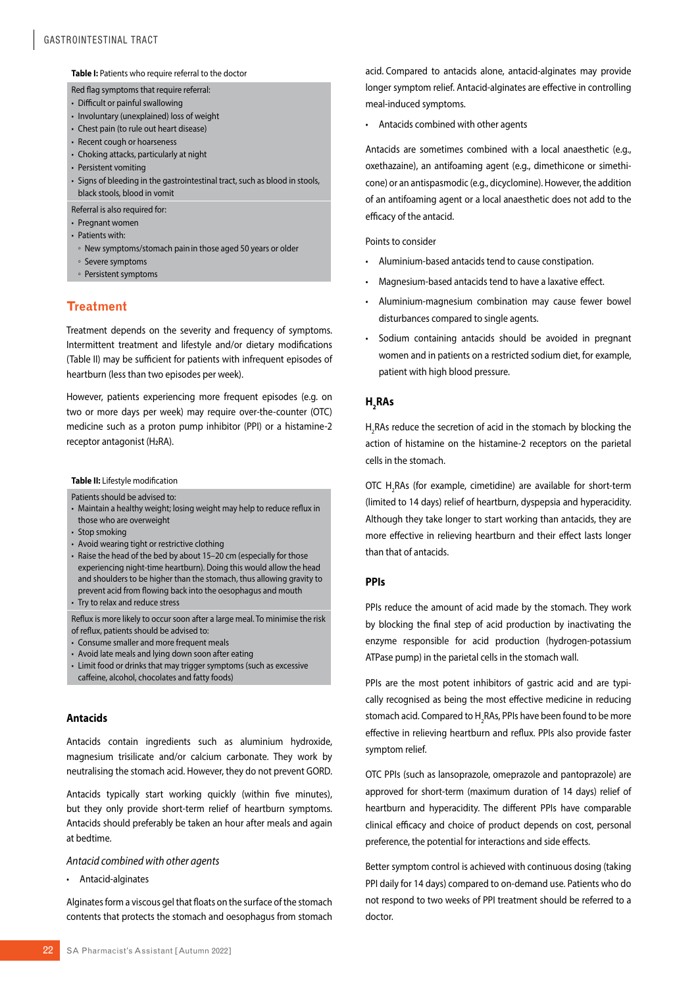**Table I:** Patients who require referral to the doctor

Red flag symptoms that require referral:

- Difficult or painful swallowing
- Involuntary (unexplained) loss of weight
- Chest pain (to rule out heart disease)
- Recent cough or hoarseness
- Choking attacks, particularly at night
- Persistent vomiting
- Signs of bleeding in the gastrointestinal tract, such as blood in stools, black stools, blood in vomit

Referral is also required for:

- Pregnant women
- Patients with:
- New symptoms/stomach painin those aged 50 years or older
- Severe symptoms
- Persistent symptoms

# **Treatment**

Treatment depends on the severity and frequency of symptoms. Intermittent treatment and lifestyle and/or dietary modifications (Table II) may be sufficient for patients with infrequent episodes of heartburn (less than two episodes per week).

However, patients experiencing more frequent episodes (e.g. on two or more days per week) may require over-the-counter (OTC) medicine such as a proton pump inhibitor (PPI) or a histamine-2 receptor antagonist (H<sub>2</sub>RA).

### **Table II:** Lifestyle modification

Patients should be advised to:

- Maintain a healthy weight; losing weight may help to reduce reflux in those who are overweight
- Stop smoking
- Avoid wearing tight or restrictive clothing
- Raise the head of the bed by about 15–20 cm (especially for those experiencing night-time heartburn). Doing this would allow the head and shoulders to be higher than the stomach, thus allowing gravity to prevent acid from flowing back into the oesophagus and mouth
- Try to relax and reduce stress

Reflux is more likely to occur soon after a large meal. To minimise the risk of reflux, patients should be advised to:

- Consume smaller and more frequent meals
- Avoid late meals and lying down soon after eating
- Limit food or drinks that may trigger symptoms (such as excessive caffeine, alcohol, chocolates and fatty foods)

## **Antacids**

Antacids contain ingredients such as aluminium hydroxide, magnesium trisilicate and/or calcium carbonate. They work by neutralising the stomach acid. However, they do not prevent GORD.

Antacids typically start working quickly (within five minutes), but they only provide short-term relief of heartburn symptoms. Antacids should preferably be taken an hour after meals and again at bedtime.

#### *Antacid combined with other agents*

• Antacid-alginates

Alginates form a viscous gel that floats on the surface of the stomach contents that protects the stomach and oesophagus from stomach

acid. Compared to antacids alone, antacid-alginates may provide longer symptom relief. Antacid-alginates are effective in controlling meal-induced symptoms.

• Antacids combined with other agents

Antacids are sometimes combined with a local anaesthetic (e.g., oxethazaine), an antifoaming agent (e.g., dimethicone or simethicone) or an antispasmodic (e.g., dicyclomine). However, the addition of an antifoaming agent or a local anaesthetic does not add to the efficacy of the antacid.

Points to consider

- Aluminium-based antacids tend to cause constipation.
- Magnesium-based antacids tend to have a laxative effect.
- Aluminium-magnesium combination may cause fewer bowel disturbances compared to single agents.
- Sodium containing antacids should be avoided in pregnant women and in patients on a restricted sodium diet, for example, patient with high blood pressure.

# **H2 RAs**

 $H_2$ RAs reduce the secretion of acid in the stomach by blocking the action of histamine on the histamine-2 receptors on the parietal cells in the stomach.

OTC  $H_2$ RAs (for example, cimetidine) are available for short-term (limited to 14 days) relief of heartburn, dyspepsia and hyperacidity. Although they take longer to start working than antacids, they are more effective in relieving heartburn and their effect lasts longer than that of antacids.

## **PPIs**

PPIs reduce the amount of acid made by the stomach. They work by blocking the final step of acid production by inactivating the enzyme responsible for acid production (hydrogen-potassium ATPase pump) in the parietal cells in the stomach wall.

PPIs are the most potent inhibitors of gastric acid and are typically recognised as being the most effective medicine in reducing stomach acid. Compared to H<sub>2</sub>RAs, PPIs have been found to be more effective in relieving heartburn and reflux. PPIs also provide faster symptom relief.

OTC PPIs (such as lansoprazole, omeprazole and pantoprazole) are approved for short-term (maximum duration of 14 days) relief of heartburn and hyperacidity. The different PPIs have comparable clinical efficacy and choice of product depends on cost, personal preference, the potential for interactions and side effects.

Better symptom control is achieved with continuous dosing (taking PPI daily for 14 days) compared to on-demand use. Patients who do not respond to two weeks of PPI treatment should be referred to a doctor.